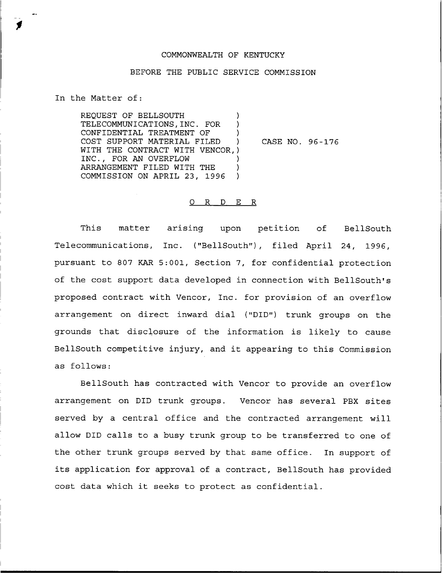## COMMONWEALTH OF KENTUCKY

## BEFORE THE PUBLIC SERVICE COMMISSION

In the Matter of:

REQUEST OF BELLSOUTH TELECOMMUNICATIONS, INC. FOR CONFIDENTIAL TREATMENT OF ) COST SUPPORT MATERIAL FILED ) WITH THE CONTRACT WITH VENCOR,) INC., FOR AN OVERFLOW ) ARRANGEMENT FILED WITH THE ) COMMISSION ON APRIL 23, 1996 )

CASE NO. 96-176

## 0 R <sup>D</sup> E R

This matter arising upon petition of BellSouth Telecommunications, Inc. ("BellSouth"), filed April 24, 1996, pursuant to 807 KAR 5:001, Section 7, for confidential protection of the cost support data developed in connection with BellSouth's proposed contract with Vencor, Inc. for provision of an overflow arrangement on direct inward dial ("DID") trunk groups on the grounds that disclosure of the information is likely to cause BellSouth competitive injury, and it appearing to this Commission as follows:

BellSouth has contracted with Vencor to provide an overflow arrangement on DID trunk groups. Vencor has several PBX sites served by a central office and the contracted arrangement will allow DID calls to a busy trunk group to be transferred to one of the other trunk groups served by that same office. In support of its application for approval of <sup>a</sup> contract, BellSouth has provided cost data which it seeks to protect as confidential.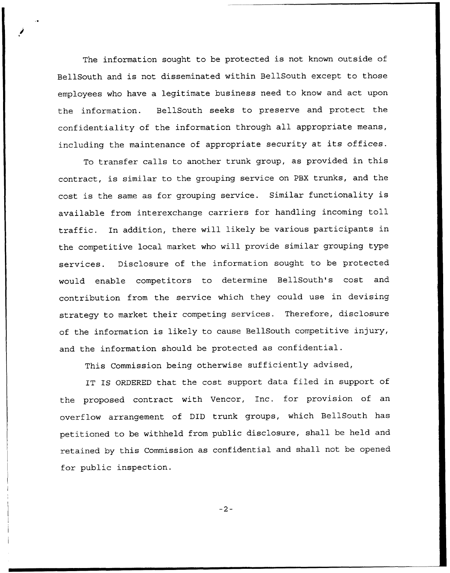The information sought to be protected is not known outside of BellSouth and is not disseminated within BellSouth except to those employees who have a legitimate business need to know and act upon the information. BellSouth seeks to preserve and protect the confidentiality of the information through all appropriate means, including the maintenance of appropriate security at its offices.

To transfer calls to another trunk group, as provided in this contract, is similar to the grouping service on PBX trunks, and the cost is the same as for grouping service. Similar functionality is available from interexchange carriers for handling incoming toll traffic. In addition, there will likely be various participants in the competitive local market who will provide similar grouping type services. Disclosure of the information sought to be protected would enable competitors to determine BellSouth's cost and contribution from the service which they could use in devising strategy to market their competing services. Therefore, disclosure of the information is likely to cause BellSouth competitive injury, and the information should be protected as confidential.

This Commission being otherwise sufficiently advised,

IT IS ORDERED that the cost support data filed in support of the proposed contract with Uencor, Inc. for provision of an overflow arrangement of DID trunk groups, which BellSouth has petitioned to be withheld from public disclosure, shall be held and retained by this Commission as confidential and shall not be opened for public inspection.

 $-2-$